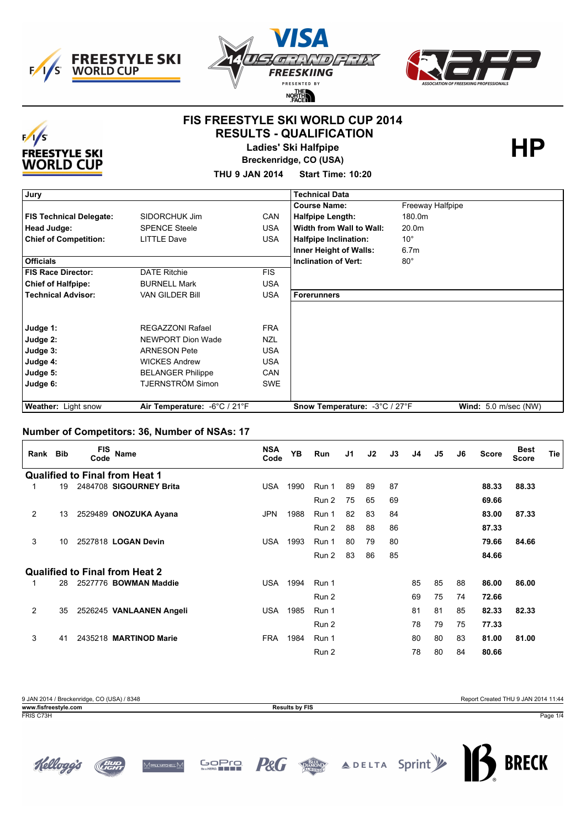





## **FIS FREESTYLE SKI WORLD CUP 2014 RESULTS - QUALIFICATION**



**Ladies' Ski Halfpipe** 

**Breckenridge, CO (USA)**

**THU 9 JAN 2014 Start Time: 10:20**

| Jury                           |                              |            | <b>Technical Data</b>         |                               |
|--------------------------------|------------------------------|------------|-------------------------------|-------------------------------|
|                                |                              |            | <b>Course Name:</b>           | Freeway Halfpipe              |
| <b>FIS Technical Delegate:</b> | SIDORCHUK Jim                | <b>CAN</b> | <b>Halfpipe Length:</b>       | 180.0m                        |
| Head Judge:                    | <b>SPENCE Steele</b>         | <b>USA</b> | Width from Wall to Wall:      | 20.0m                         |
| <b>Chief of Competition:</b>   | <b>LITTLE Dave</b>           | <b>USA</b> | <b>Halfpipe Inclination:</b>  | $10^{\circ}$                  |
|                                |                              |            | Inner Height of Walls:        | 6.7 <sub>m</sub>              |
| <b>Officials</b>               |                              |            | <b>Inclination of Vert:</b>   | $80^\circ$                    |
| <b>FIS Race Director:</b>      | <b>DATE Ritchie</b>          | FIS.       |                               |                               |
| <b>Chief of Halfpipe:</b>      | <b>BURNELL Mark</b>          | <b>USA</b> |                               |                               |
| <b>Technical Advisor:</b>      | <b>VAN GILDER Bill</b>       | <b>USA</b> | <b>Forerunners</b>            |                               |
|                                |                              |            |                               |                               |
|                                |                              |            |                               |                               |
| Judge 1:                       | <b>REGAZZONI Rafael</b>      | <b>FRA</b> |                               |                               |
| Judge 2:                       | <b>NEWPORT Dion Wade</b>     | <b>NZL</b> |                               |                               |
| Judge 3:                       | <b>ARNESON Pete</b>          | <b>USA</b> |                               |                               |
| Judge 4:                       | <b>WICKES Andrew</b>         | <b>USA</b> |                               |                               |
| Judge 5:                       | <b>BELANGER Philippe</b>     | <b>CAN</b> |                               |                               |
| Judge 6:                       | TJERNSTRÖM Simon             | <b>SWE</b> |                               |                               |
|                                |                              |            |                               |                               |
| Weather: Light snow            | Air Temperature: -6°C / 21°F |            | Snow Temperature: -3°C / 27°F | <b>Wind:</b> $5.0$ m/sec (NW) |

#### **Number of Competitors: 36, Number of NSAs: 17**

| Rank Bib       |    | <b>FIS</b><br>Code | Name                                  | <b>NSA</b><br>Code | <b>YB</b> | <b>Run</b> | J <sub>1</sub> | J2 | J3 | J4 | J5 | J6 | <b>Score</b> | <b>Best</b><br>Score | <b>Tie</b> |
|----------------|----|--------------------|---------------------------------------|--------------------|-----------|------------|----------------|----|----|----|----|----|--------------|----------------------|------------|
|                |    |                    | <b>Qualified to Final from Heat 1</b> |                    |           |            |                |    |    |    |    |    |              |                      |            |
|                | 19 |                    | 2484708 SIGOURNEY Brita               | <b>USA</b>         | 1990      | Run 1      | 89             | 89 | 87 |    |    |    | 88.33        | 88.33                |            |
|                |    |                    |                                       |                    |           | Run 2      | 75             | 65 | 69 |    |    |    | 69.66        |                      |            |
| $\overline{2}$ | 13 |                    | 2529489 ONOZUKA Ayana                 | <b>JPN</b>         | 1988      | Run 1      | 82             | 83 | 84 |    |    |    | 83.00        | 87.33                |            |
|                |    |                    |                                       |                    |           | Run 2      | 88             | 88 | 86 |    |    |    | 87.33        |                      |            |
| 3              | 10 |                    | 2527818 LOGAN Devin                   | <b>USA</b>         | 1993      | Run 1      | 80             | 79 | 80 |    |    |    | 79.66        | 84.66                |            |
|                |    |                    |                                       |                    |           | Run 2      | 83             | 86 | 85 |    |    |    | 84.66        |                      |            |
|                |    |                    | <b>Qualified to Final from Heat 2</b> |                    |           |            |                |    |    |    |    |    |              |                      |            |
|                | 28 |                    | 2527776 BOWMAN Maddie                 | <b>USA</b>         | 1994      | Run 1      |                |    |    | 85 | 85 | 88 | 86.00        | 86.00                |            |
|                |    |                    |                                       |                    |           | Run 2      |                |    |    | 69 | 75 | 74 | 72.66        |                      |            |
| $\overline{2}$ | 35 |                    | 2526245 VANLAANEN Angeli              | <b>USA</b>         | 1985      | Run 1      |                |    |    | 81 | 81 | 85 | 82.33        | 82.33                |            |
|                |    |                    |                                       |                    |           | Run 2      |                |    |    | 78 | 79 | 75 | 77.33        |                      |            |
| 3              | 41 |                    | 2435218 MARTINOD Marie                | <b>FRA</b>         | 1984      | Run 1      |                |    |    | 80 | 80 | 83 | 81.00        | 81.00                |            |
|                |    |                    |                                       |                    |           | Run 2      |                |    |    | 78 | 80 | 84 | 80.66        |                      |            |

| 9 JAN 2014 / Breckenridge, CO (USA) / 8348 |                       | Report Created THU 9 JAN 2014 11:44 |
|--------------------------------------------|-----------------------|-------------------------------------|
| www.fisfreestyle.com                       | <b>Results by FIS</b> |                                     |
| FRIS C73H                                  |                       | Page 1/4                            |







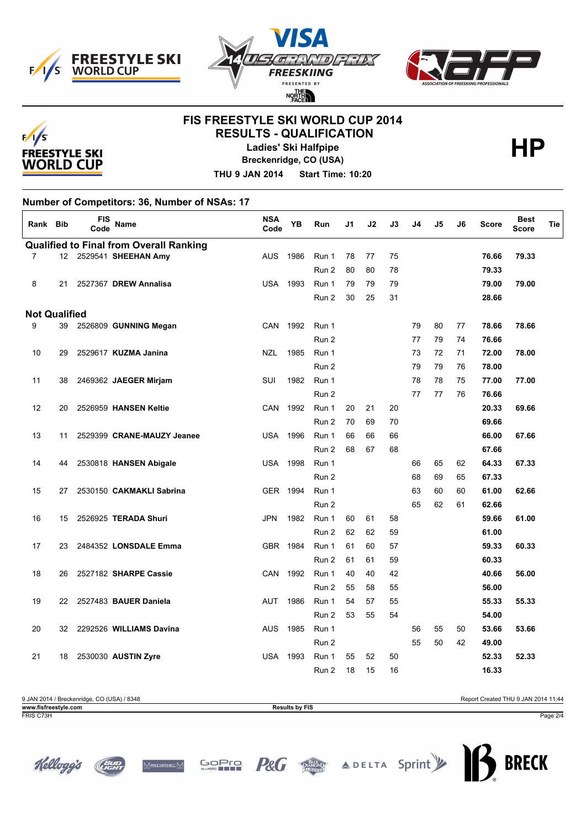





# **FIS FREESTYLE SKI WORLD CUP 2014 RESULTS - QUALIFICATION**



**Ladies' Ski Halfpipe** 

**Breckenridge, CO (USA)**

**THU 9 JAN 2014 Start Time: 10:20**

**Number of Competitors: 36, Number of NSAs: 17**

| Rank Bib             |    | <b>FIS</b><br>Code | <b>Name</b>                                    | <b>NSA</b><br>Code | YB       | Run   | J1 | J2 | J3 | J4 | J5 | J6 | Score | <b>Best</b><br><b>Score</b> | Tie |
|----------------------|----|--------------------|------------------------------------------------|--------------------|----------|-------|----|----|----|----|----|----|-------|-----------------------------|-----|
|                      |    |                    | <b>Qualified to Final from Overall Ranking</b> |                    |          |       |    |    |    |    |    |    |       |                             |     |
| $\overline{7}$       |    |                    | 12 2529541 SHEEHAN Amy                         | <b>AUS</b>         | 1986     | Run 1 | 78 | 77 | 75 |    |    |    | 76.66 | 79.33                       |     |
|                      |    |                    |                                                |                    |          | Run 2 | 80 | 80 | 78 |    |    |    | 79.33 |                             |     |
| 8                    | 21 |                    | 2527367 DREW Annalisa                          | <b>USA</b>         | 1993     | Run 1 | 79 | 79 | 79 |    |    |    | 79.00 | 79.00                       |     |
|                      |    |                    |                                                |                    |          | Run 2 | 30 | 25 | 31 |    |    |    | 28.66 |                             |     |
| <b>Not Qualified</b> |    |                    |                                                |                    |          |       |    |    |    |    |    |    |       |                             |     |
| 9                    | 39 |                    | 2526809 GUNNING Megan                          | <b>CAN</b>         | 1992     | Run 1 |    |    |    | 79 | 80 | 77 | 78.66 | 78.66                       |     |
|                      |    |                    |                                                |                    |          | Run 2 |    |    |    | 77 | 79 | 74 | 76.66 |                             |     |
| 10                   | 29 |                    | 2529617 KUZMA Janina                           | <b>NZL</b>         | 1985     | Run 1 |    |    |    | 73 | 72 | 71 | 72.00 | 78.00                       |     |
|                      |    |                    |                                                |                    |          | Run 2 |    |    |    | 79 | 79 | 76 | 78.00 |                             |     |
| 11                   | 38 |                    | 2469362 JAEGER Mirjam                          | SUI                | 1982     | Run 1 |    |    |    | 78 | 78 | 75 | 77.00 | 77.00                       |     |
|                      |    |                    |                                                |                    |          | Run 2 |    |    |    | 77 | 77 | 76 | 76.66 |                             |     |
| 12                   | 20 |                    | 2526959 HANSEN Keltie                          | CAN                | 1992     | Run 1 | 20 | 21 | 20 |    |    |    | 20.33 | 69.66                       |     |
|                      |    |                    |                                                |                    |          | Run 2 | 70 | 69 | 70 |    |    |    | 69.66 |                             |     |
| 13                   | 11 |                    | 2529399 CRANE-MAUZY Jeanee                     | <b>USA</b>         | 1996     | Run 1 | 66 | 66 | 66 |    |    |    | 66.00 | 67.66                       |     |
|                      |    |                    |                                                |                    |          | Run 2 | 68 | 67 | 68 |    |    |    | 67.66 |                             |     |
| 14                   | 44 |                    | 2530818 HANSEN Abigale                         | <b>USA</b>         | 1998     | Run 1 |    |    |    | 66 | 65 | 62 | 64.33 | 67.33                       |     |
|                      |    |                    |                                                |                    |          | Run 2 |    |    |    | 68 | 69 | 65 | 67.33 |                             |     |
| 15                   | 27 |                    | 2530150 CAKMAKLI Sabrina                       |                    | GER 1994 | Run 1 |    |    |    | 63 | 60 | 60 | 61.00 | 62.66                       |     |
|                      |    |                    |                                                |                    |          | Run 2 |    |    |    | 65 | 62 | 61 | 62.66 |                             |     |
| 16                   | 15 |                    | 2526925 TERADA Shuri                           | <b>JPN</b>         | 1982     | Run 1 | 60 | 61 | 58 |    |    |    | 59.66 | 61.00                       |     |
|                      |    |                    |                                                |                    |          | Run 2 | 62 | 62 | 59 |    |    |    | 61.00 |                             |     |
| 17                   | 23 |                    | 2484352 LONSDALE Emma                          |                    | GBR 1984 | Run 1 | 61 | 60 | 57 |    |    |    | 59.33 | 60.33                       |     |
|                      |    |                    |                                                |                    |          | Run 2 | 61 | 61 | 59 |    |    |    | 60.33 |                             |     |
| 18                   | 26 |                    | 2527182 SHARPE Cassie                          | <b>CAN</b>         | 1992     | Run 1 | 40 | 40 | 42 |    |    |    | 40.66 | 56.00                       |     |
|                      |    |                    |                                                |                    |          | Run 2 | 55 | 58 | 55 |    |    |    | 56.00 |                             |     |
| 19                   | 22 |                    | 2527483 BAUER Daniela                          | AUT                | 1986     | Run 1 | 54 | 57 | 55 |    |    |    | 55.33 | 55.33                       |     |
|                      |    |                    |                                                |                    |          | Run 2 | 53 | 55 | 54 |    |    |    | 54.00 |                             |     |
| 20                   | 32 |                    | 2292526 WILLIAMS Davina                        | <b>AUS</b>         | 1985     | Run 1 |    |    |    | 56 | 55 | 50 | 53.66 | 53.66                       |     |
|                      |    |                    |                                                |                    |          | Run 2 |    |    |    | 55 | 50 | 42 | 49.00 |                             |     |
| 21                   | 18 |                    | 2530030 AUSTIN Zyre                            | <b>USA</b>         | 1993     | Run 1 | 55 | 52 | 50 |    |    |    | 52.33 | 52.33                       |     |
|                      |    |                    |                                                |                    |          | Run 2 | 18 | 15 | 16 |    |    |    | 16.33 |                             |     |

| 9 JAN 2014 / Breckenridge, CO (USA) / 8348 |                       | Report Created THU 9 JAN 2014 11:44 |
|--------------------------------------------|-----------------------|-------------------------------------|
| www.fisfreestvle.com                       | <b>Results by FIS</b> |                                     |
| FRIS C73H                                  |                       | Page 2/4                            |







**GOPTO**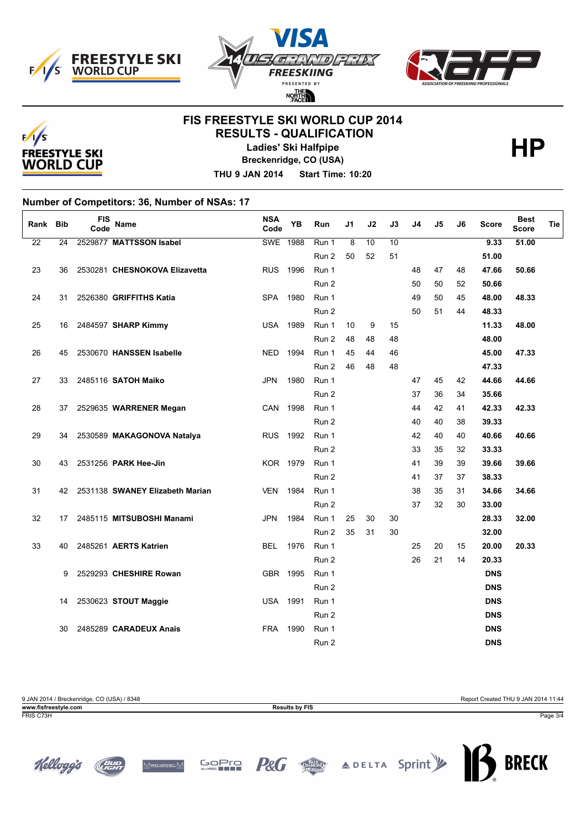





## **FIS FREESTYLE SKI WORLD CUP 2014 RESULTS - QUALIFICATION**



**Ladies' Ski Halfpipe** 

**Breckenridge, CO (USA)**

**THU 9 JAN 2014 Start Time: 10:20**

**Number of Competitors: 36, Number of NSAs: 17**

| Rank            | <b>Bib</b> | <b>FIS</b><br>Code | <b>Name</b>                        | <b>NSA</b><br>Code | YB   | Run   | J1 | J2 | J3 | J4 | J5 | J6 | <b>Score</b> | <b>Best</b><br><b>Score</b> | <b>Tie</b> |
|-----------------|------------|--------------------|------------------------------------|--------------------|------|-------|----|----|----|----|----|----|--------------|-----------------------------|------------|
| $\overline{22}$ | 24         |                    | 2529877 MATTSSON Isabel            | <b>SWE 1988</b>    |      | Run 1 | 8  | 10 | 10 |    |    |    | 9.33         | 51.00                       |            |
|                 |            |                    |                                    |                    |      | Run 2 | 50 | 52 | 51 |    |    |    | 51.00        |                             |            |
| 23              | 36         |                    | 2530281 CHESNOKOVA Elizavetta      | <b>RUS</b>         | 1996 | Run 1 |    |    |    | 48 | 47 | 48 | 47.66        | 50.66                       |            |
|                 |            |                    |                                    |                    |      | Run 2 |    |    |    | 50 | 50 | 52 | 50.66        |                             |            |
| 24              | 31         |                    | 2526380 GRIFFITHS Katia            | <b>SPA</b>         | 1980 | Run 1 |    |    |    | 49 | 50 | 45 | 48.00        | 48.33                       |            |
|                 |            |                    |                                    |                    |      | Run 2 |    |    |    | 50 | 51 | 44 | 48.33        |                             |            |
| 25              | 16         |                    | 2484597 SHARP Kimmy                | <b>USA</b>         | 1989 | Run 1 | 10 | 9  | 15 |    |    |    | 11.33        | 48.00                       |            |
|                 |            |                    |                                    |                    |      | Run 2 | 48 | 48 | 48 |    |    |    | 48.00        |                             |            |
| 26              | 45         |                    | 2530670 HANSSEN Isabelle           | <b>NED</b>         | 1994 | Run 1 | 45 | 44 | 46 |    |    |    | 45.00        | 47.33                       |            |
|                 |            |                    |                                    |                    |      | Run 2 | 46 | 48 | 48 |    |    |    | 47.33        |                             |            |
| 27              | 33         |                    | 2485116 SATOH Maiko                | <b>JPN</b>         | 1980 | Run 1 |    |    |    | 47 | 45 | 42 | 44.66        | 44.66                       |            |
|                 |            |                    |                                    |                    |      | Run 2 |    |    |    | 37 | 36 | 34 | 35.66        |                             |            |
| 28              | 37         |                    | 2529635 WARRENER Megan             | CAN 1998           |      | Run 1 |    |    |    | 44 | 42 | 41 | 42.33        | 42.33                       |            |
|                 |            |                    |                                    |                    |      | Run 2 |    |    |    | 40 | 40 | 38 | 39.33        |                             |            |
| 29              | 34         |                    | 2530589 MAKAGONOVA Natalya         | <b>RUS</b>         | 1992 | Run 1 |    |    |    | 42 | 40 | 40 | 40.66        | 40.66                       |            |
|                 |            |                    |                                    |                    |      | Run 2 |    |    |    | 33 | 35 | 32 | 33.33        |                             |            |
| 30              | 43         |                    | 2531256 PARK Hee-Jin               | KOR 1979           |      | Run 1 |    |    |    | 41 | 39 | 39 | 39.66        | 39.66                       |            |
|                 |            |                    |                                    |                    |      | Run 2 |    |    |    | 41 | 37 | 37 | 38.33        |                             |            |
| 31              |            |                    | 42 2531138 SWANEY Elizabeth Marian | <b>VEN</b>         | 1984 | Run 1 |    |    |    | 38 | 35 | 31 | 34.66        | 34.66                       |            |
|                 |            |                    |                                    |                    |      | Run 2 |    |    |    | 37 | 32 | 30 | 33.00        |                             |            |
| 32              | 17         |                    | 2485115 MITSUBOSHI Manami          | <b>JPN</b>         | 1984 | Run 1 | 25 | 30 | 30 |    |    |    | 28.33        | 32.00                       |            |
|                 |            |                    |                                    |                    |      | Run 2 | 35 | 31 | 30 |    |    |    | 32.00        |                             |            |
| 33              | 40         |                    | 2485261 AERTS Katrien              | <b>BEL</b>         | 1976 | Run 1 |    |    |    | 25 | 20 | 15 | 20.00        | 20.33                       |            |
|                 |            |                    |                                    |                    |      | Run 2 |    |    |    | 26 | 21 | 14 | 20.33        |                             |            |
|                 | 9          |                    | 2529293 CHESHIRE Rowan             | GBR 1995           |      | Run 1 |    |    |    |    |    |    | <b>DNS</b>   |                             |            |
|                 |            |                    |                                    |                    |      | Run 2 |    |    |    |    |    |    | <b>DNS</b>   |                             |            |
|                 | 14         |                    | 2530623 STOUT Maggie               | <b>USA 1991</b>    |      | Run 1 |    |    |    |    |    |    | <b>DNS</b>   |                             |            |
|                 |            |                    |                                    |                    |      | Run 2 |    |    |    |    |    |    | <b>DNS</b>   |                             |            |
|                 | 30         |                    | 2485289 CARADEUX Anais             | <b>FRA</b>         | 1990 | Run 1 |    |    |    |    |    |    | <b>DNS</b>   |                             |            |
|                 |            |                    |                                    |                    |      | Run 2 |    |    |    |    |    |    | <b>DNS</b>   |                             |            |

9 JAN 2014 / Breckenridge, CO (USA) / 8348 Report Created THU 9 JAN 2014 11:44 **www.fisfreestyle.com Results by FIS** FRIS C73H Page 3/4







**GOPTO**